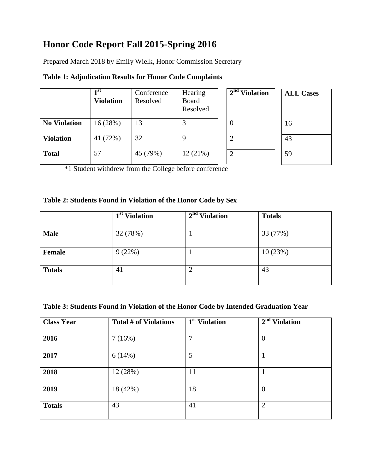# **Honor Code Report Fall 2015-Spring 2016**

Prepared March 2018 by Emily Wielk, Honor Commission Secretary

|                     | 1 <sub>st</sub><br><b>Violation</b> | Conference<br>Resolved | Hearing<br>Board<br>Resolved | $2nd$ Violation | <b>ALL Cases</b> |
|---------------------|-------------------------------------|------------------------|------------------------------|-----------------|------------------|
| <b>No Violation</b> | 16(28%)                             | 13                     |                              |                 | 16               |
| <b>Violation</b>    | 41 (72%)                            | 32                     | 9                            |                 | 43               |
| <b>Total</b>        | 57                                  | 45 (79%)               | 12(21%)                      |                 | 59               |

# **Table 1: Adjudication Results for Honor Code Complaints**

\*1 Student withdrew from the College before conference

#### **Table 2: Students Found in Violation of the Honor Code by Sex**

|               | 1 <sup>st</sup> Violation | 2 <sup>nd</sup> Violation | <b>Totals</b> |
|---------------|---------------------------|---------------------------|---------------|
| <b>Male</b>   | 32 (78%)                  |                           | 33 (77%)      |
| <b>Female</b> | 9(22%)                    |                           | 10(23%)       |
| <b>Totals</b> | 41                        | ↑<br>↵                    | 43            |

### **Table 3: Students Found in Violation of the Honor Code by Intended Graduation Year**

| <b>Class Year</b> | Total # of Violations | $\overline{1^{st}}$ Violation | $2nd$ Violation |
|-------------------|-----------------------|-------------------------------|-----------------|
| 2016              | 7(16%)                | 7                             | $\overline{0}$  |
| 2017              | 6(14%)                | 5                             |                 |
| 2018              | 12 (28%)              | 11                            |                 |
| 2019              | 18 (42%)              | 18                            | $\overline{0}$  |
| <b>Totals</b>     | 43                    | 41                            | $\overline{2}$  |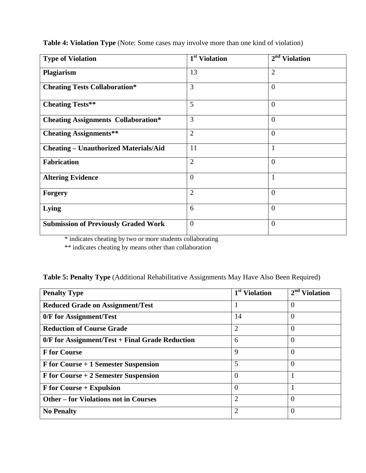| <b>Type of Violation</b>                     | 1 <sup>st</sup> Violation | 2 <sup>nd</sup><br><b>Violation</b> |
|----------------------------------------------|---------------------------|-------------------------------------|
| Plagiarism                                   | 13                        | $\overline{2}$                      |
| <b>Cheating Tests Collaboration*</b>         | 3                         | $\overline{0}$                      |
| <b>Cheating Tests**</b>                      | 5                         | $\overline{0}$                      |
| <b>Cheating Assignments Collaboration*</b>   | 3                         | $\theta$                            |
| <b>Cheating Assignments**</b>                | $\overline{2}$            | $\overline{0}$                      |
| <b>Cheating - Unauthorized Materials/Aid</b> | 11                        | 1                                   |
| <b>Fabrication</b>                           | $\overline{2}$            | $\overline{0}$                      |
| <b>Altering Evidence</b>                     | $\overline{0}$            | $\mathbf{1}$                        |
| <b>Forgery</b>                               | $\overline{2}$            | $\overline{0}$                      |
| Lying                                        | 6                         | $\theta$                            |
| <b>Submission of Previously Graded Work</b>  | $\overline{0}$            | $\overline{0}$                      |

**Table 4: Violation Type** (Note: Some cases may involve more than one kind of violation)

\* indicates cheating by two or more students collaborating

\*\* indicates cheating by means other than collaboration

| Table 5: Penalty Type (Additional Rehabilitative Assignments May Have Also Been Required) |  |  |  |  |  |  |
|-------------------------------------------------------------------------------------------|--|--|--|--|--|--|
|-------------------------------------------------------------------------------------------|--|--|--|--|--|--|

| <b>Penalty Type</b>                               | 1 <sup>st</sup> Violation | $2nd$ Violation |
|---------------------------------------------------|---------------------------|-----------------|
| <b>Reduced Grade on Assignment/Test</b>           |                           | $\Omega$        |
| 0/F for Assignment/Test                           | 14                        | $\overline{0}$  |
| <b>Reduction of Course Grade</b>                  | $\overline{2}$            | $\overline{0}$  |
| $0/F$ for Assignment/Test + Final Grade Reduction | 6                         | $\Omega$        |
| <b>F</b> for Course                               | 9                         | $\Omega$        |
| F for Course + 1 Semester Suspension              | 5                         | $\Omega$        |
| $F$ for Course + 2 Semester Suspension            | $\Omega$                  |                 |
| <b>F</b> for Course + Expulsion                   | $\Omega$                  |                 |
| <b>Other – for Violations not in Courses</b>      | 2                         | $\Omega$        |
| <b>No Penalty</b>                                 | $\overline{2}$            | $\Omega$        |